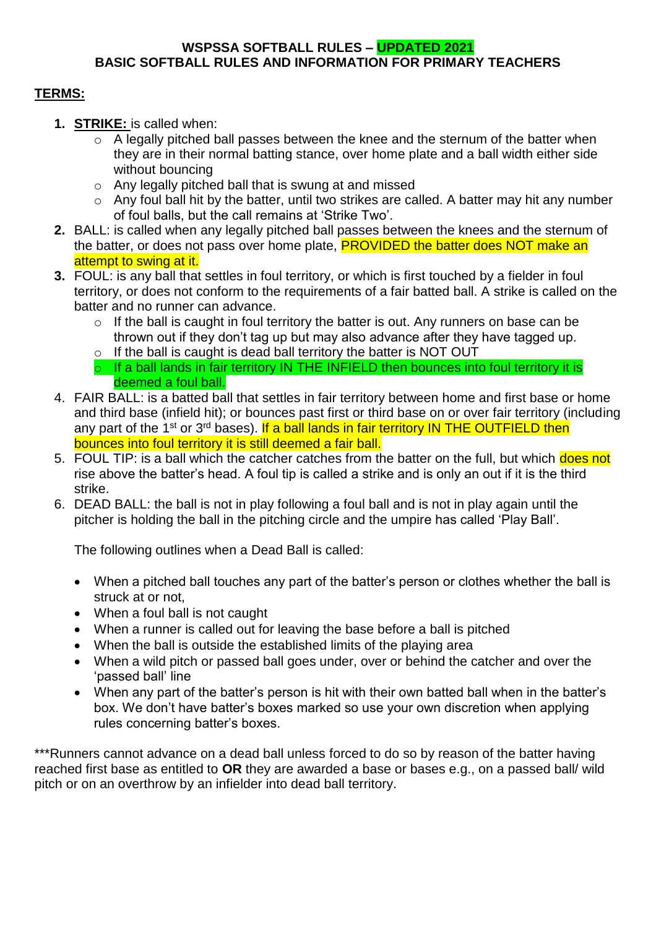#### **WSPSSA SOFTBALL RULES – UPDATED 2021 BASIC SOFTBALL RULES AND INFORMATION FOR PRIMARY TEACHERS**

# **TERMS:**

- **1. STRIKE:** is called when:
	- $\circ$  A legally pitched ball passes between the knee and the sternum of the batter when they are in their normal batting stance, over home plate and a ball width either side without bouncing
	- o Any legally pitched ball that is swung at and missed
	- o Any foul ball hit by the batter, until two strikes are called. A batter may hit any number of foul balls, but the call remains at 'Strike Two'.
- **2.** BALL: is called when any legally pitched ball passes between the knees and the sternum of the batter, or does not pass over home plate, **PROVIDED the batter does NOT make an** attempt to swing at it.
- **3.** FOUL: is any ball that settles in foul territory, or which is first touched by a fielder in foul territory, or does not conform to the requirements of a fair batted ball. A strike is called on the batter and no runner can advance.
	- o If the ball is caught in foul territory the batter is out. Any runners on base can be thrown out if they don't tag up but may also advance after they have tagged up.
	- $\circ$  If the ball is caught is dead ball territory the batter is NOT OUT
	- $\circ$  If a ball lands in fair territory IN THE INFIELD then bounces into foul territory it is deemed a foul ball.
- 4. FAIR BALL: is a batted ball that settles in fair territory between home and first base or home and third base (infield hit); or bounces past first or third base on or over fair territory (including any part of the 1<sup>st</sup> or 3<sup>rd</sup> bases). If a ball lands in fair territory IN THE OUTFIELD then bounces into foul territory it is still deemed a fair ball.
- 5. FOUL TIP: is a ball which the catcher catches from the batter on the full, but which does not rise above the batter's head. A foul tip is called a strike and is only an out if it is the third strike.
- 6. DEAD BALL: the ball is not in play following a foul ball and is not in play again until the pitcher is holding the ball in the pitching circle and the umpire has called 'Play Ball'.

The following outlines when a Dead Ball is called:

- When a pitched ball touches any part of the batter's person or clothes whether the ball is struck at or not,
- When a foul ball is not caught
- When a runner is called out for leaving the base before a ball is pitched
- When the ball is outside the established limits of the playing area
- When a wild pitch or passed ball goes under, over or behind the catcher and over the 'passed ball' line
- When any part of the batter's person is hit with their own batted ball when in the batter's box. We don't have batter's boxes marked so use your own discretion when applying rules concerning batter's boxes.

\*\*\*Runners cannot advance on a dead ball unless forced to do so by reason of the batter having reached first base as entitled to **OR** they are awarded a base or bases e.g., on a passed ball/ wild pitch or on an overthrow by an infielder into dead ball territory.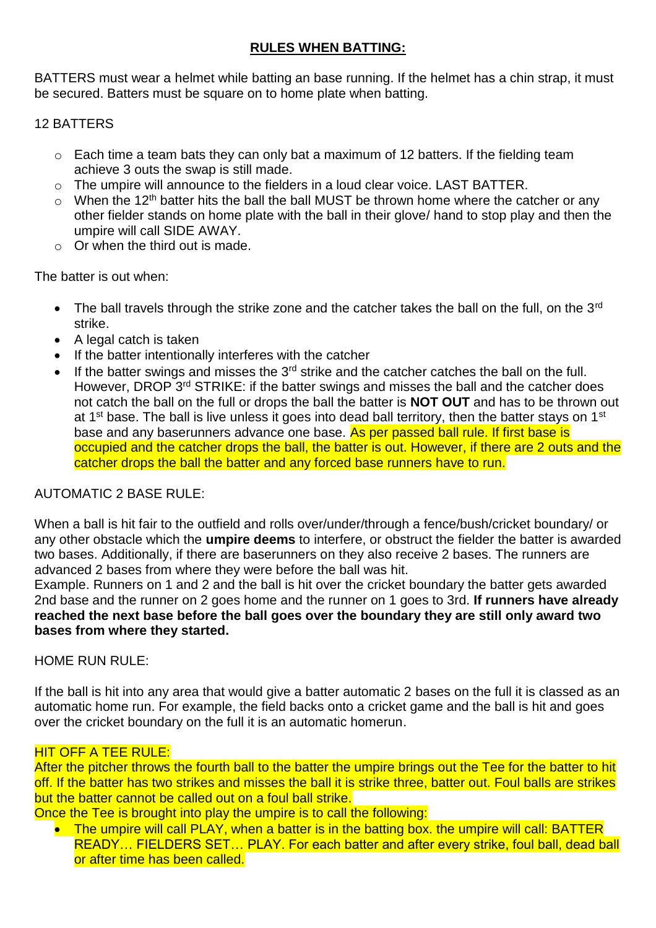## **RULES WHEN BATTING:**

BATTERS must wear a helmet while batting an base running. If the helmet has a chin strap, it must be secured. Batters must be square on to home plate when batting.

# 12 BATTERS

- $\circ$  Each time a team bats they can only bat a maximum of 12 batters. If the fielding team achieve 3 outs the swap is still made.
- o The umpire will announce to the fielders in a loud clear voice. LAST BATTER.
- $\circ$  When the 12<sup>th</sup> batter hits the ball the ball MUST be thrown home where the catcher or any other fielder stands on home plate with the ball in their glove/ hand to stop play and then the umpire will call SIDE AWAY.
- $\circ$  Or when the third out is made.

The batter is out when:

- The ball travels through the strike zone and the catcher takes the ball on the full, on the  $3<sup>rd</sup>$ strike.
- A legal catch is taken
- If the batter intentionally interferes with the catcher
- $\bullet$  If the batter swings and misses the 3<sup>rd</sup> strike and the catcher catches the ball on the full. However, DROP 3<sup>rd</sup> STRIKE: if the batter swings and misses the ball and the catcher does not catch the ball on the full or drops the ball the batter is **NOT OUT** and has to be thrown out at 1<sup>st</sup> base. The ball is live unless it goes into dead ball territory, then the batter stays on 1<sup>st</sup> base and any baserunners advance one base. As per passed ball rule. If first base is occupied and the catcher drops the ball, the batter is out. However, if there are 2 outs and the catcher drops the ball the batter and any forced base runners have to run.

## AUTOMATIC 2 BASE RULE:

When a ball is hit fair to the outfield and rolls over/under/through a fence/bush/cricket boundary/ or any other obstacle which the **umpire deems** to interfere, or obstruct the fielder the batter is awarded two bases. Additionally, if there are baserunners on they also receive 2 bases. The runners are advanced 2 bases from where they were before the ball was hit.

Example. Runners on 1 and 2 and the ball is hit over the cricket boundary the batter gets awarded 2nd base and the runner on 2 goes home and the runner on 1 goes to 3rd. **If runners have already reached the next base before the ball goes over the boundary they are still only award two bases from where they started.**

## HOME RUN RULE:

If the ball is hit into any area that would give a batter automatic 2 bases on the full it is classed as an automatic home run. For example, the field backs onto a cricket game and the ball is hit and goes over the cricket boundary on the full it is an automatic homerun.

## HIT OFF A TEE RULE:

After the pitcher throws the fourth ball to the batter the umpire brings out the Tee for the batter to hit off. If the batter has two strikes and misses the ball it is strike three, batter out. Foul balls are strikes but the batter cannot be called out on a foul ball strike.

Once the Tee is brought into play the umpire is to call the following:

• The umpire will call PLAY, when a batter is in the batting box, the umpire will call: BATTER READY... FIELDERS SET... PLAY. For each batter and after every strike, foul ball, dead ball or after time has been called.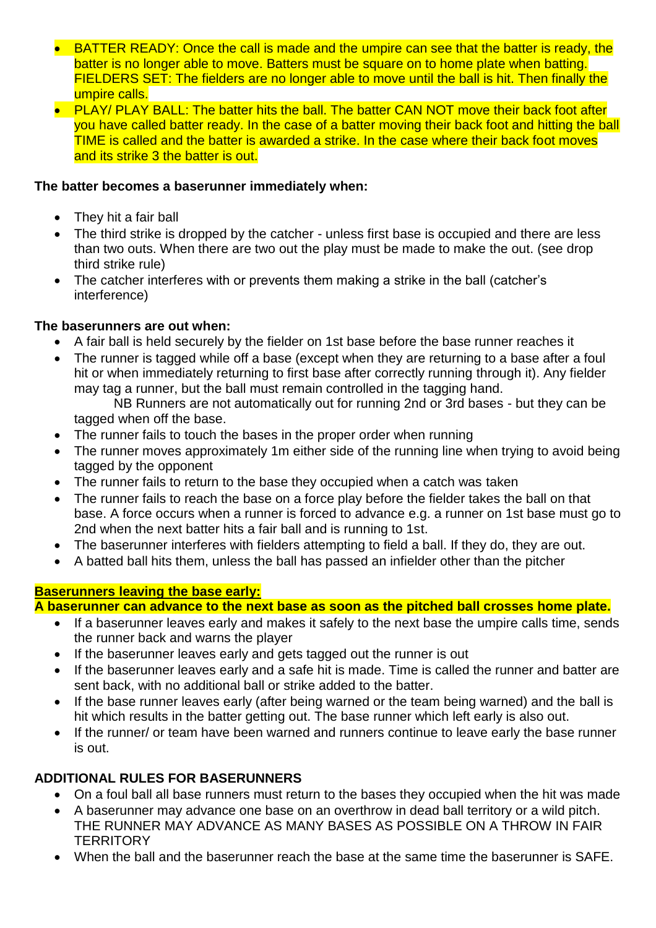- BATTER READY: Once the call is made and the umpire can see that the batter is ready, the batter is no longer able to move. Batters must be square on to home plate when batting. FIELDERS SET: The fielders are no longer able to move until the ball is hit. Then finally the umpire calls.
- PLAY/ PLAY BALL: The batter hits the ball. The batter CAN NOT move their back foot after you have called batter ready. In the case of a batter moving their back foot and hitting the ball TIME is called and the batter is awarded a strike. In the case where their back foot moves and its strike 3 the batter is out.

## **The batter becomes a baserunner immediately when:**

- They hit a fair ball
- The third strike is dropped by the catcher unless first base is occupied and there are less than two outs. When there are two out the play must be made to make the out. (see drop third strike rule)
- The catcher interferes with or prevents them making a strike in the ball (catcher's interference)

# **The baserunners are out when:**

- A fair ball is held securely by the fielder on 1st base before the base runner reaches it
- The runner is tagged while off a base (except when they are returning to a base after a foul hit or when immediately returning to first base after correctly running through it). Any fielder may tag a runner, but the ball must remain controlled in the tagging hand. NB Runners are not automatically out for running 2nd or 3rd bases - but they can be

tagged when off the base.

- The runner fails to touch the bases in the proper order when running
- The runner moves approximately 1m either side of the running line when trying to avoid being tagged by the opponent
- The runner fails to return to the base they occupied when a catch was taken
- The runner fails to reach the base on a force play before the fielder takes the ball on that base. A force occurs when a runner is forced to advance e.g. a runner on 1st base must go to 2nd when the next batter hits a fair ball and is running to 1st.
- The baserunner interferes with fielders attempting to field a ball. If they do, they are out.
- A batted ball hits them, unless the ball has passed an infielder other than the pitcher

# **Baserunners leaving the base early:**

**A baserunner can advance to the next base as soon as the pitched ball crosses home plate.** 

- If a baserunner leaves early and makes it safely to the next base the umpire calls time, sends the runner back and warns the player
- If the baserunner leaves early and gets tagged out the runner is out
- If the baserunner leaves early and a safe hit is made. Time is called the runner and batter are sent back, with no additional ball or strike added to the batter.
- If the base runner leaves early (after being warned or the team being warned) and the ball is hit which results in the batter getting out. The base runner which left early is also out.
- If the runner/ or team have been warned and runners continue to leave early the base runner is out.

# **ADDITIONAL RULES FOR BASERUNNERS**

- On a foul ball all base runners must return to the bases they occupied when the hit was made
- A baserunner may advance one base on an overthrow in dead ball territory or a wild pitch. THE RUNNER MAY ADVANCE AS MANY BASES AS POSSIBLE ON A THROW IN FAIR **TERRITORY**
- When the ball and the baserunner reach the base at the same time the baserunner is SAFE.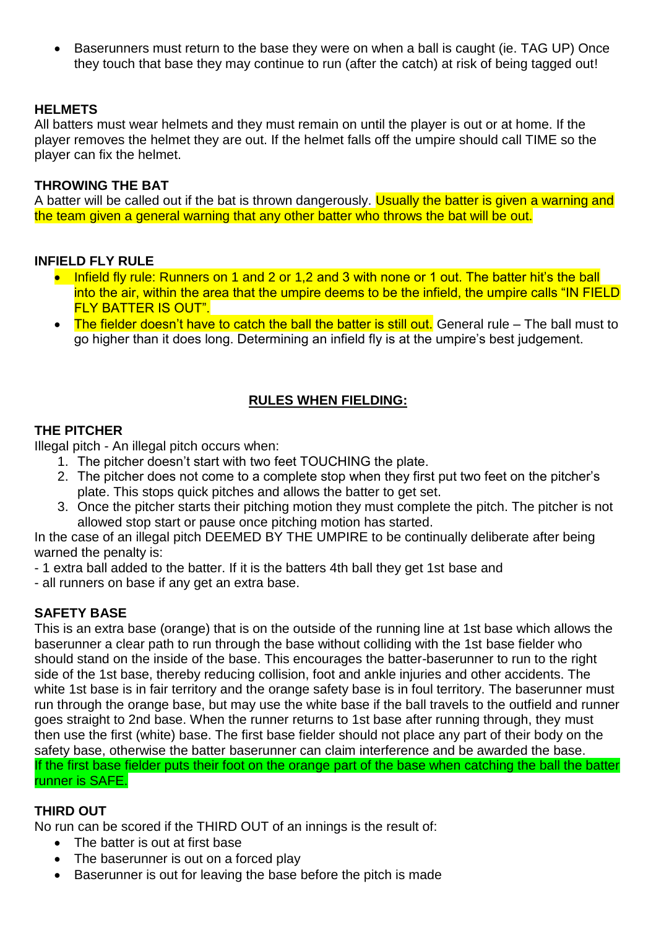• Baserunners must return to the base they were on when a ball is caught (ie. TAG UP) Once they touch that base they may continue to run (after the catch) at risk of being tagged out!

## **HELMETS**

All batters must wear helmets and they must remain on until the player is out or at home. If the player removes the helmet they are out. If the helmet falls off the umpire should call TIME so the player can fix the helmet.

### **THROWING THE BAT**

A batter will be called out if the bat is thrown dangerously. Usually the batter is given a warning and the team given a general warning that any other batter who throws the bat will be out.

#### **INFIELD FLY RULE**

- Infield fly rule: Runners on 1 and 2 or 1,2 and 3 with none or 1 out. The batter hit's the ball into the air, within the area that the umpire deems to be the infield, the umpire calls "IN FIELD FLY BATTER IS OUT".
- The fielder doesn't have to catch the ball the batter is still out. General rule The ball must to go higher than it does long. Determining an infield fly is at the umpire's best judgement.

# **RULES WHEN FIELDING:**

## **THE PITCHER**

Illegal pitch - An illegal pitch occurs when:

- 1. The pitcher doesn't start with two feet TOUCHING the plate.
- 2. The pitcher does not come to a complete stop when they first put two feet on the pitcher's plate. This stops quick pitches and allows the batter to get set.
- 3. Once the pitcher starts their pitching motion they must complete the pitch. The pitcher is not allowed stop start or pause once pitching motion has started.

In the case of an illegal pitch DEEMED BY THE UMPIRE to be continually deliberate after being warned the penalty is:

- 1 extra ball added to the batter. If it is the batters 4th ball they get 1st base and

- all runners on base if any get an extra base.

# **SAFETY BASE**

This is an extra base (orange) that is on the outside of the running line at 1st base which allows the baserunner a clear path to run through the base without colliding with the 1st base fielder who should stand on the inside of the base. This encourages the batter-baserunner to run to the right side of the 1st base, thereby reducing collision, foot and ankle injuries and other accidents. The white 1st base is in fair territory and the orange safety base is in foul territory. The baserunner must run through the orange base, but may use the white base if the ball travels to the outfield and runner goes straight to 2nd base. When the runner returns to 1st base after running through, they must then use the first (white) base. The first base fielder should not place any part of their body on the safety base, otherwise the batter baserunner can claim interference and be awarded the base. If the first base fielder puts their foot on the orange part of the base when catching the ball the batter runner is SAFE.

## **THIRD OUT**

No run can be scored if the THIRD OUT of an innings is the result of:

- The batter is out at first base
- The baserunner is out on a forced play
- Baserunner is out for leaving the base before the pitch is made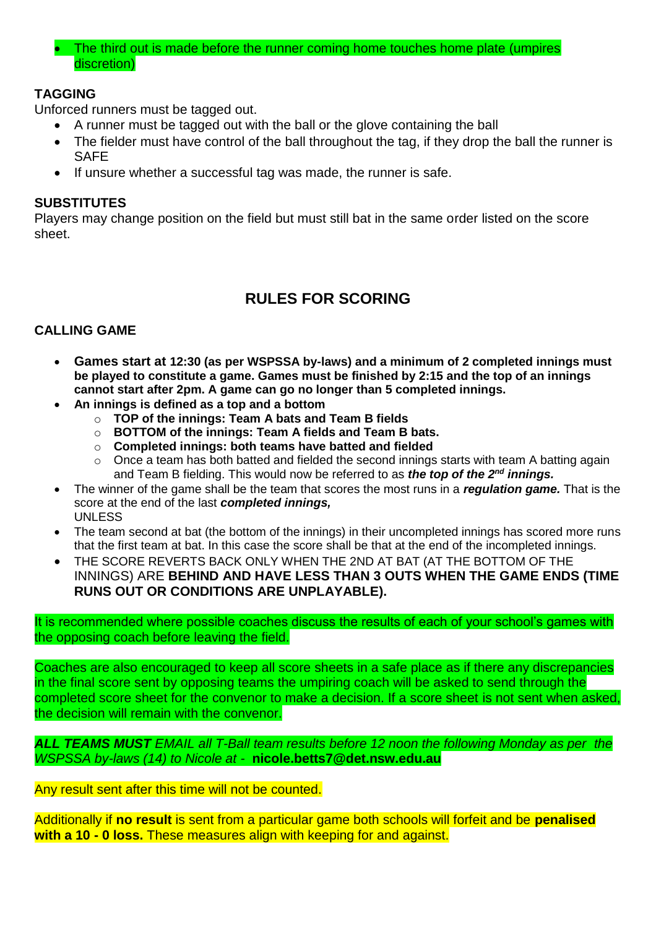• The third out is made before the runner coming home touches home plate (umpires discretion)

# **TAGGING**

Unforced runners must be tagged out.

- A runner must be tagged out with the ball or the glove containing the ball
- The fielder must have control of the ball throughout the tag, if they drop the ball the runner is SAFE
- If unsure whether a successful tag was made, the runner is safe.

## **SUBSTITUTES**

Players may change position on the field but must still bat in the same order listed on the score sheet.

# **RULES FOR SCORING**

## **CALLING GAME**

- **Games start at 12:30 (as per WSPSSA by-laws) and a minimum of 2 completed innings must be played to constitute a game. Games must be finished by 2:15 and the top of an innings cannot start after 2pm. A game can go no longer than 5 completed innings.**
- **An innings is defined as a top and a bottom**
	- o **TOP of the innings: Team A bats and Team B fields**
	- o **BOTTOM of the innings: Team A fields and Team B bats.**
	- o **Completed innings: both teams have batted and fielded**
	- $\circ$  Once a team has both batted and fielded the second innings starts with team A batting again and Team B fielding. This would now be referred to as *the top of the 2nd innings.*
- The winner of the game shall be the team that scores the most runs in a *regulation game.* That is the score at the end of the last *completed innings,* UNLESS
- The team second at bat (the bottom of the innings) in their uncompleted innings has scored more runs that the first team at bat. In this case the score shall be that at the end of the incompleted innings.
- THE SCORE REVERTS BACK ONLY WHEN THE 2ND AT BAT (AT THE BOTTOM OF THE INNINGS) ARE **BEHIND AND HAVE LESS THAN 3 OUTS WHEN THE GAME ENDS (TIME RUNS OUT OR CONDITIONS ARE UNPLAYABLE).**

It is recommended where possible coaches discuss the results of each of your school's games with the opposing coach before leaving the field.

Coaches are also encouraged to keep all score sheets in a safe place as if there any discrepancies in the final score sent by opposing teams the umpiring coach will be asked to send through the completed score sheet for the convenor to make a decision. If a score sheet is not sent when asked, the decision will remain with the convenor.

*ALL TEAMS MUST EMAIL all T-Ball team results before 12 noon the following Monday as per the WSPSSA by-laws (14) to Nicole at -* **nicole.betts7@det.nsw.edu.au**

Any result sent after this time will not be counted.

Additionally if **no result** is sent from a particular game both schools will forfeit and be **penalised with a 10 - 0 loss.** These measures align with keeping for and against.